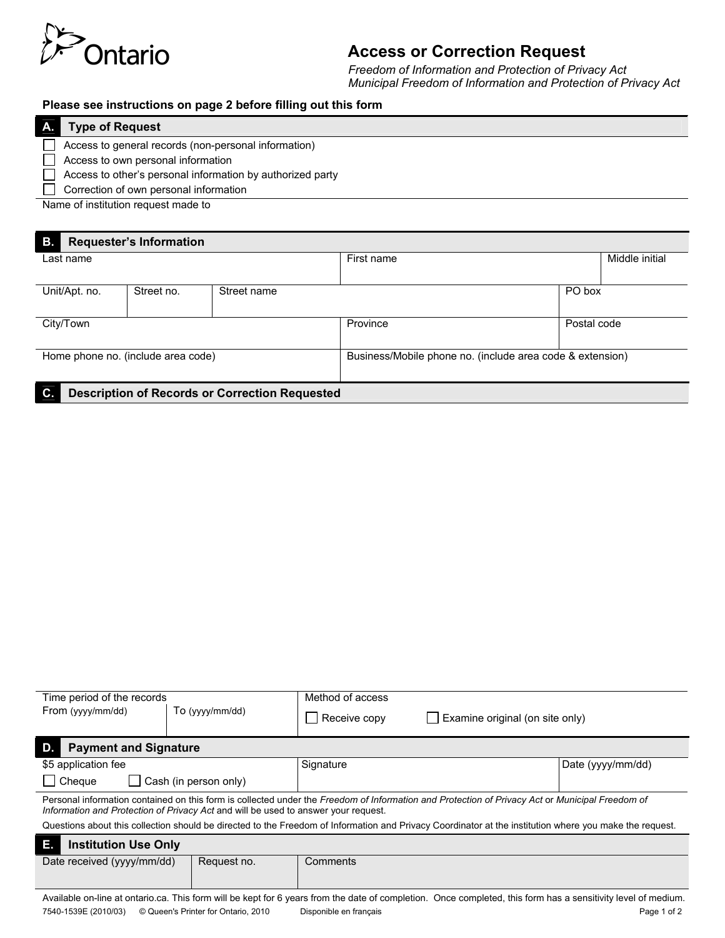

# **Access or Correction Request**

*Freedom of Information and Protection of Privacy Act Municipal Freedom of Information and Protection of Privacy Act*

### **Please see instructions on page 2 before filling out this form**

| <b>Type of Request</b>                                     |  |  |  |  |
|------------------------------------------------------------|--|--|--|--|
| Access to general records (non-personal information)       |  |  |  |  |
| Access to own personal information                         |  |  |  |  |
| Access to other's personal information by authorized party |  |  |  |  |
| Correction of own personal information                     |  |  |  |  |
| Name of institution request made to                        |  |  |  |  |

Name of institution request made to

| <b>B.</b><br><b>Requester's Information</b>                 |            |             |                                                           |             |                |  |  |  |  |  |
|-------------------------------------------------------------|------------|-------------|-----------------------------------------------------------|-------------|----------------|--|--|--|--|--|
| Last name                                                   |            |             | First name                                                |             | Middle initial |  |  |  |  |  |
|                                                             |            |             |                                                           |             |                |  |  |  |  |  |
| Unit/Apt. no.                                               | Street no. | Street name | PO box                                                    |             |                |  |  |  |  |  |
|                                                             |            |             |                                                           |             |                |  |  |  |  |  |
| City/Town                                                   |            |             | Province                                                  | Postal code |                |  |  |  |  |  |
|                                                             |            |             |                                                           |             |                |  |  |  |  |  |
| Home phone no. (include area code)                          |            |             | Business/Mobile phone no. (include area code & extension) |             |                |  |  |  |  |  |
|                                                             |            |             |                                                           |             |                |  |  |  |  |  |
| C.<br><b>Description of Records or Correction Requested</b> |            |             |                                                           |             |                |  |  |  |  |  |

| Time period of the records                                                                                                                                                                                                            |                       | Method of access |                                 |                   |  |  |  |  |
|---------------------------------------------------------------------------------------------------------------------------------------------------------------------------------------------------------------------------------------|-----------------------|------------------|---------------------------------|-------------------|--|--|--|--|
| From (yyyy/mm/dd)                                                                                                                                                                                                                     | To (yyyy/mm/dd)       | Receive copy     | Examine original (on site only) |                   |  |  |  |  |
| D.<br><b>Payment and Signature</b>                                                                                                                                                                                                    |                       |                  |                                 |                   |  |  |  |  |
| \$5 application fee                                                                                                                                                                                                                   |                       | Signature        |                                 | Date (yyyy/mm/dd) |  |  |  |  |
| Cheque                                                                                                                                                                                                                                | Cash (in person only) |                  |                                 |                   |  |  |  |  |
| Personal information contained on this form is collected under the Freedom of Information and Protection of Privacy Act or Municipal Freedom of<br>Information and Protection of Privacy Act and will be used to answer your request. |                       |                  |                                 |                   |  |  |  |  |
| Questions about this collection should be directed to the Freedom of Information and Privacy Coordinator at the institution where you make the request.                                                                               |                       |                  |                                 |                   |  |  |  |  |
| E.<br><b>Institution Use Only</b>                                                                                                                                                                                                     |                       |                  |                                 |                   |  |  |  |  |
| Date received (yyyy/mm/dd)                                                                                                                                                                                                            | Request no.           | Comments         |                                 |                   |  |  |  |  |
|                                                                                                                                                                                                                                       |                       |                  |                                 |                   |  |  |  |  |
| Acceled a college at a charter and This factor (dilleger leads from the controlleger delay acceled the factor has a considered at character of the decoding of the decoding of the legal decoding of the legal decoding of the        |                       |                  |                                 |                   |  |  |  |  |

Available on-line at ontario.ca. This form will be kept for 6 years from the date of completion. Once completed, this form has a sensitivity level of medium. 7540-1539E (2010/03) © Queen's Printer for Ontario, 2010 Disponible en français Page 1 of 2